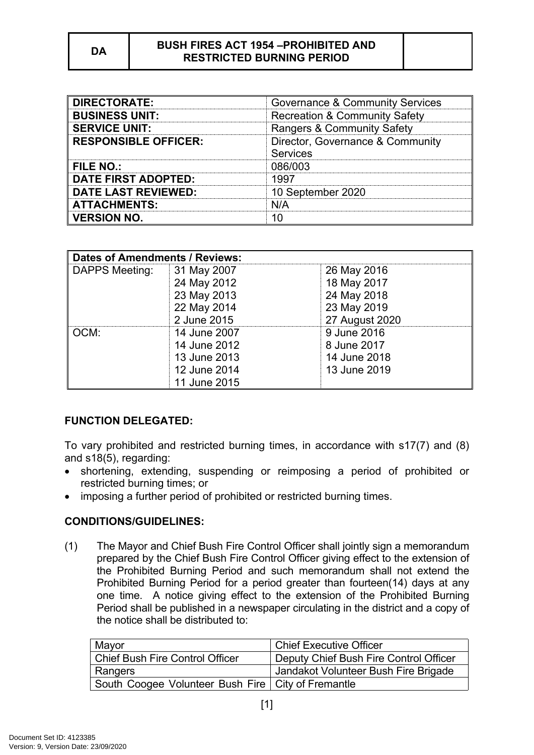| <b>DIRECTORATE:</b>         | Governance & Community Services                     |
|-----------------------------|-----------------------------------------------------|
| <b>BUSINESS UNIT:</b>       | <b>Recreation &amp; Community Safety</b>            |
| <b>SERVICE UNIT:</b>        | Rangers & Community Safety                          |
| <b>RESPONSIBLE OFFICER:</b> | Director, Governance & Community<br><b>Services</b> |
| FILE NO.:                   | 086/003                                             |
| <b>DATE FIRST ADOPTED:</b>  | 1997                                                |
| <b>DATE LAST REVIEWED:</b>  | 10 September 2020                                   |
| <b>ATTACHMENTS:</b>         | N/A                                                 |
| <b>VERSION NO.</b>          |                                                     |

| <b>Dates of Amendments / Reviews:</b> |              |                |
|---------------------------------------|--------------|----------------|
| <b>DAPPS Meeting:</b>                 | 31 May 2007  | 26 May 2016    |
|                                       | 24 May 2012  | 18 May 2017    |
|                                       | 23 May 2013  | 24 May 2018    |
|                                       | 22 May 2014  | 23 May 2019    |
|                                       | 2 June 2015  | 27 August 2020 |
| OCM:                                  | 14 June 2007 | 9 June 2016    |
|                                       | 14 June 2012 | 8 June 2017    |
|                                       | 13 June 2013 | 14 June 2018   |
|                                       | 12 June 2014 | 13 June 2019   |
|                                       | 11 June 2015 |                |

# **FUNCTION DELEGATED:**

To vary prohibited and restricted burning times, in accordance with s17(7) and (8) and s18(5), regarding:

- shortening, extending, suspending or reimposing a period of prohibited or restricted burning times; or
- imposing a further period of prohibited or restricted burning times.

# **CONDITIONS/GUIDELINES:**

(1) The Mayor and Chief Bush Fire Control Officer shall jointly sign a memorandum prepared by the Chief Bush Fire Control Officer giving effect to the extension of the Prohibited Burning Period and such memorandum shall not extend the Prohibited Burning Period for a period greater than fourteen(14) days at any one time. A notice giving effect to the extension of the Prohibited Burning Period shall be published in a newspaper circulating in the district and a copy of the notice shall be distributed to:

| Mayor                                                | <b>Chief Executive Officer</b>         |
|------------------------------------------------------|----------------------------------------|
| <b>Chief Bush Fire Control Officer</b>               | Deputy Chief Bush Fire Control Officer |
| Rangers                                              | Jandakot Volunteer Bush Fire Brigade   |
| South Coogee Volunteer Bush Fire   City of Fremantle |                                        |